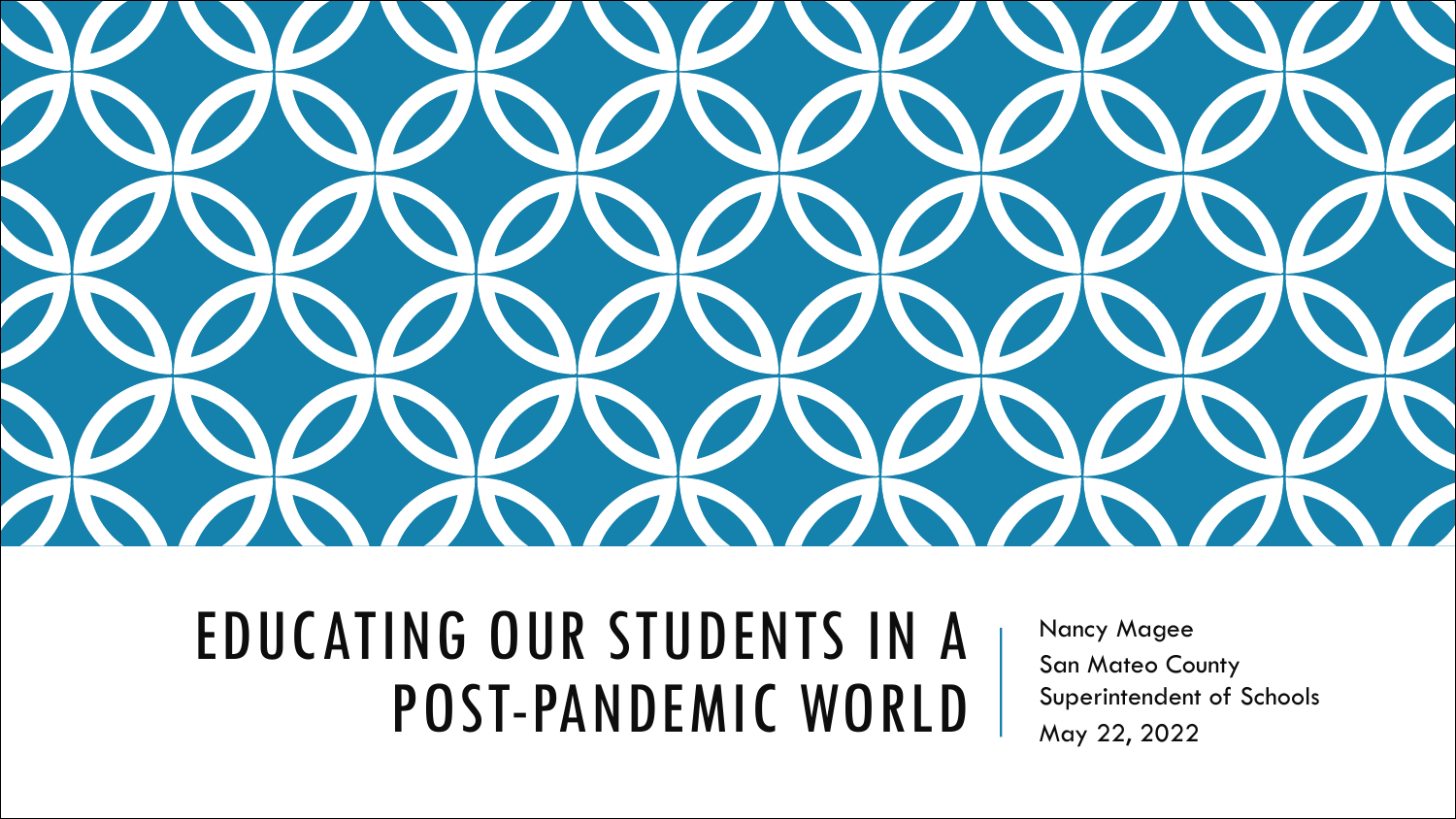

### EDUCATING OUR STUDENTS IN A POST-PANDEMIC WORLD

Nancy Magee San Mateo County Superintendent of Schools May 22, 2022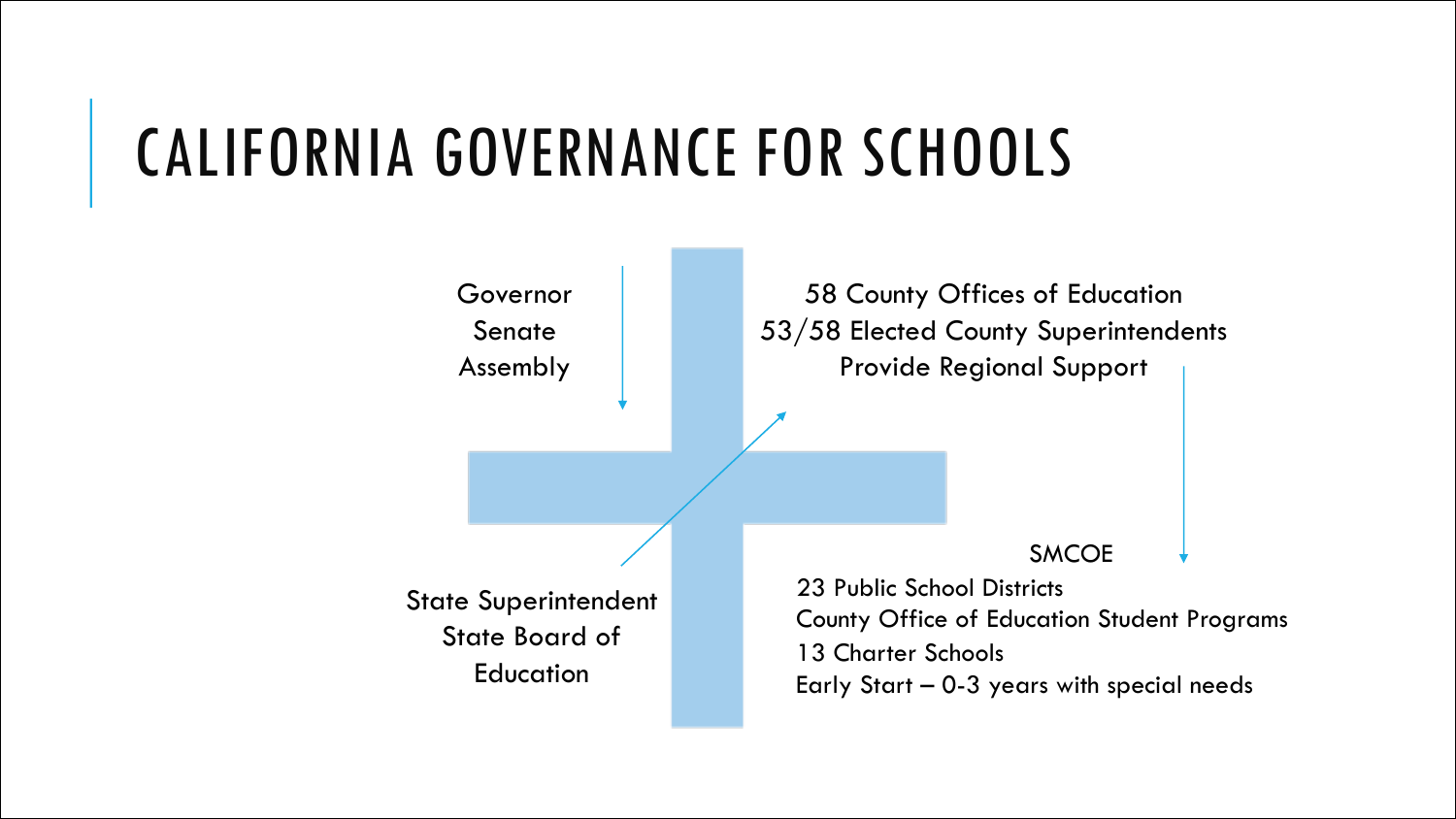### CALIFORNIA GOVERNANCE FOR SCHOOLS

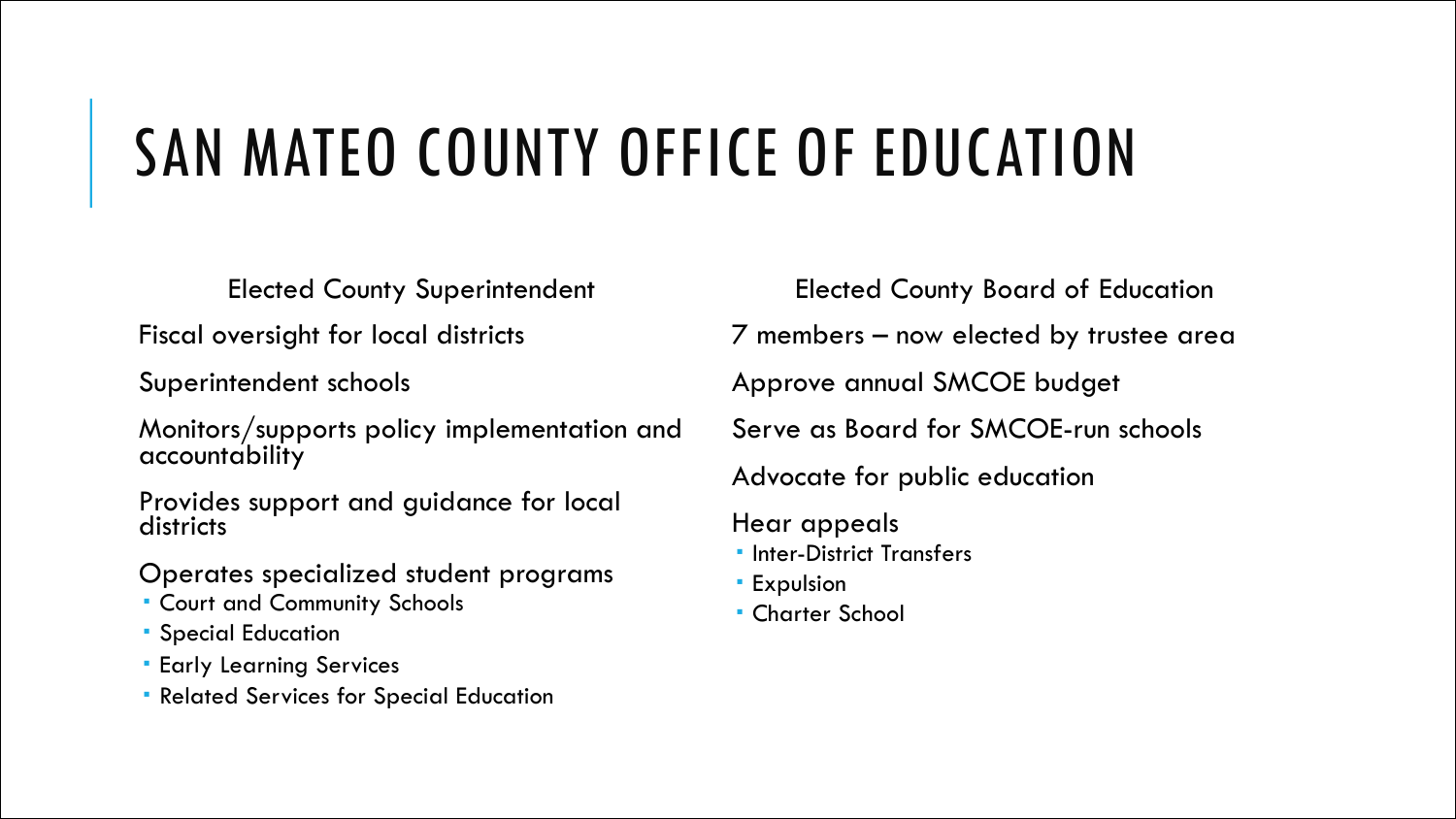# SAN MATEO COUNTY OFFICE OF EDUCATION

Elected County Superintendent

Fiscal oversight for local districts

Superintendent schools

Monitors/supports policy implementation and accountability

Provides support and guidance for local districts

Operates specialized student programs

- Court and Community Schools
- **Special Education**
- **Early Learning Services**
- Related Services for Special Education

Elected County Board of Education

7 members – now elected by trustee area

Approve annual SMCOE budget

Serve as Board for SMCOE-run schools

Advocate for public education

Hear appeals

- **Inter-District Transfers**
- **Expulsion**
- Charter School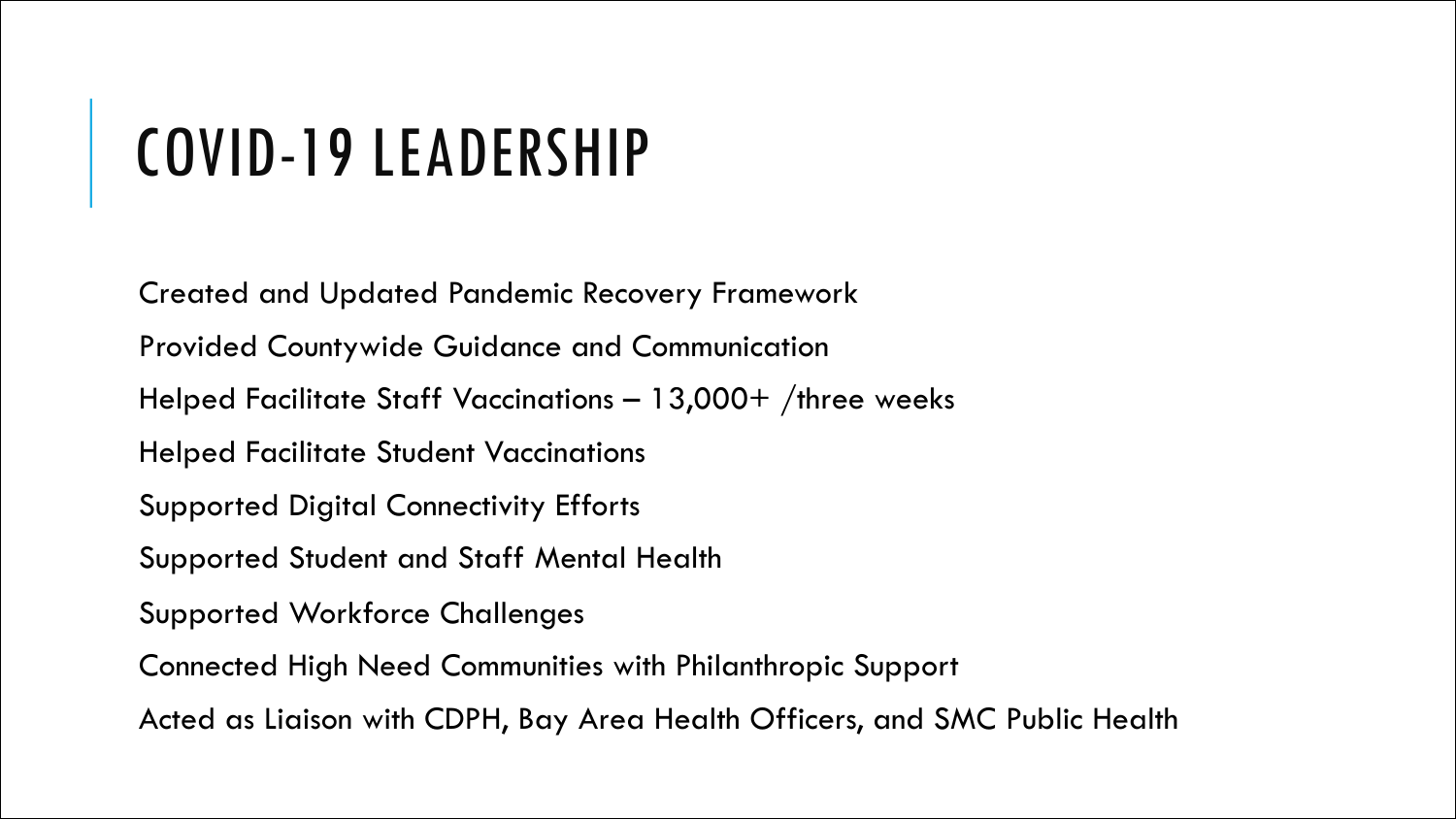## COVID-19 LEADERSHIP

Created and Updated Pandemic Recovery Framework Provided Countywide Guidance and Communication Helped Facilitate Staff Vaccinations – 13,000+ /three weeks Helped Facilitate Student Vaccinations Supported Digital Connectivity Efforts Supported Student and Staff Mental Health Supported Workforce Challenges Connected High Need Communities with Philanthropic Support Acted as Liaison with CDPH, Bay Area Health Officers, and SMC Public Health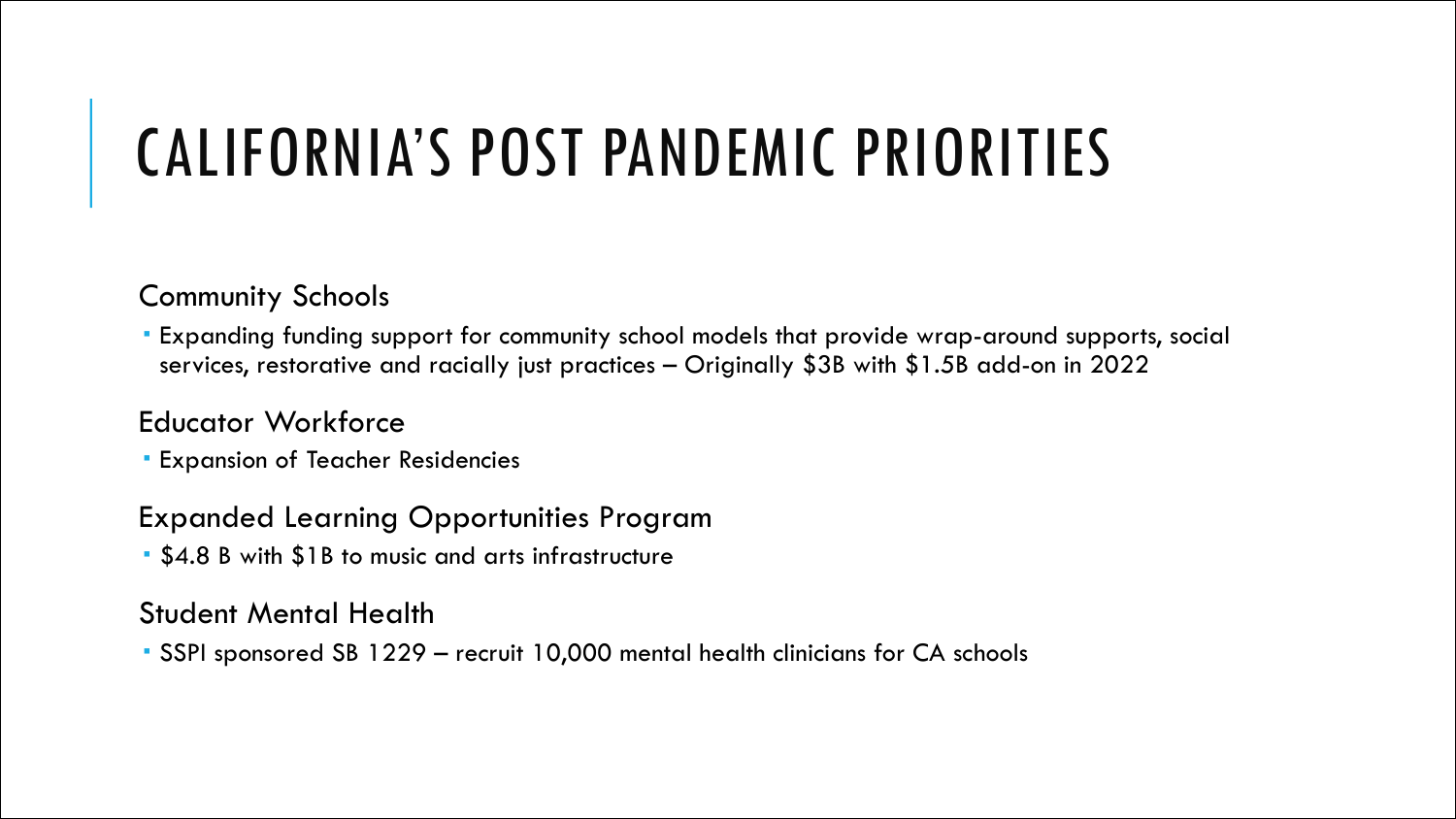# CALIFORNIA'S POST PANDEMIC PRIORITIES

#### Community Schools

 Expanding funding support for community school models that provide wrap-around supports, social services, restorative and racially just practices – Originally \$3B with \$1.5B add-on in 2022

### Educator Workforce

Expansion of Teacher Residencies

#### Expanded Learning Opportunities Program

\$4.8 B with \$1B to music and arts infrastructure

#### Student Mental Health

SSPI sponsored SB 1229 – recruit 10,000 mental health clinicians for CA schools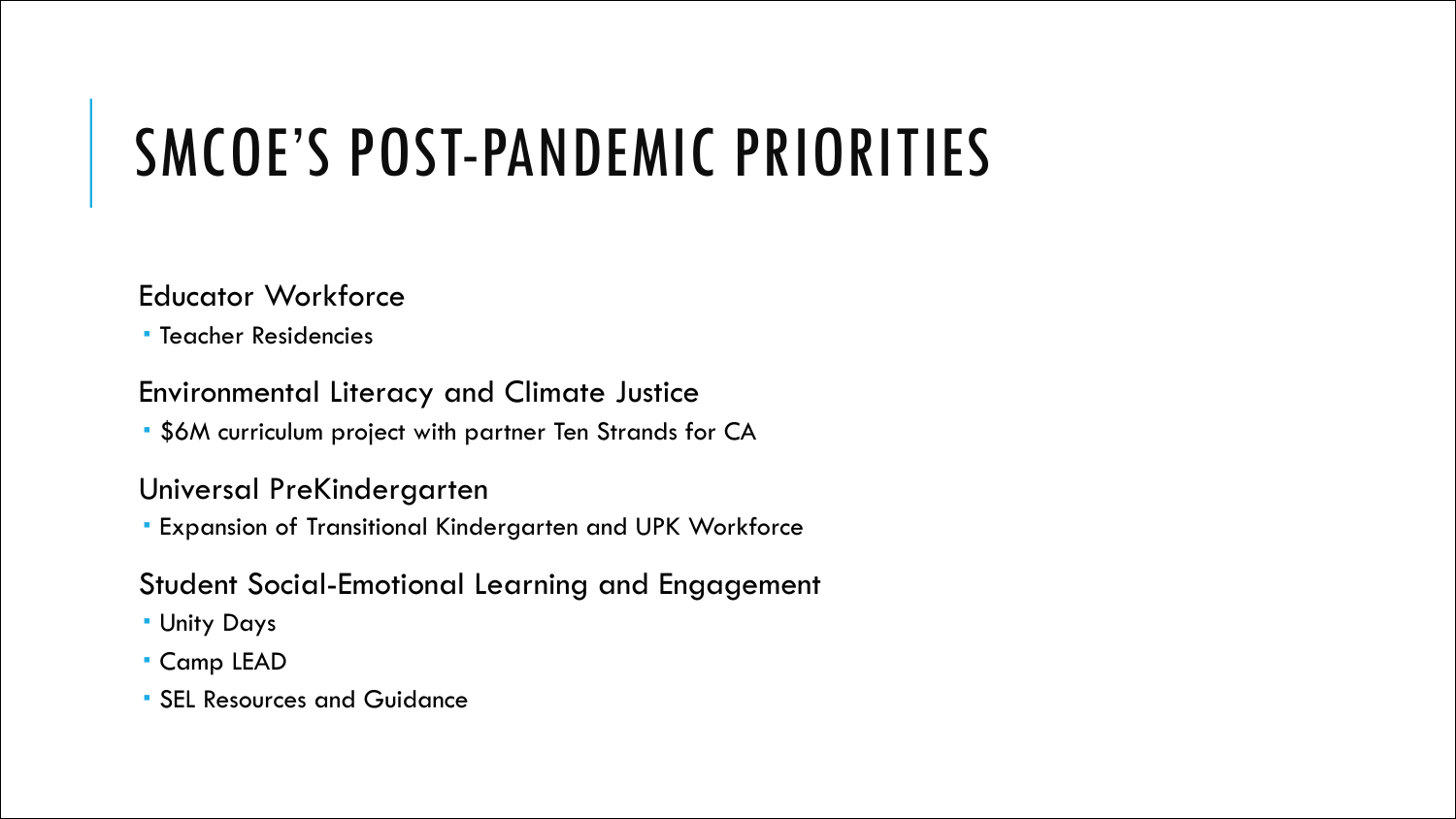# SMCOE'S POST-PANDEMIC PRIORITIES

#### Educator Workforce

Teacher Residencies

#### Environmental Literacy and Climate Justice

\$6M curriculum project with partner Ten Strands for CA

#### Universal PreKindergarten

Expansion of Transitional Kindergarten and UPK Workforce

### Student Social-Emotional Learning and Engagement

- Unity Days
- Camp LEAD
- SEL Resources and Guidance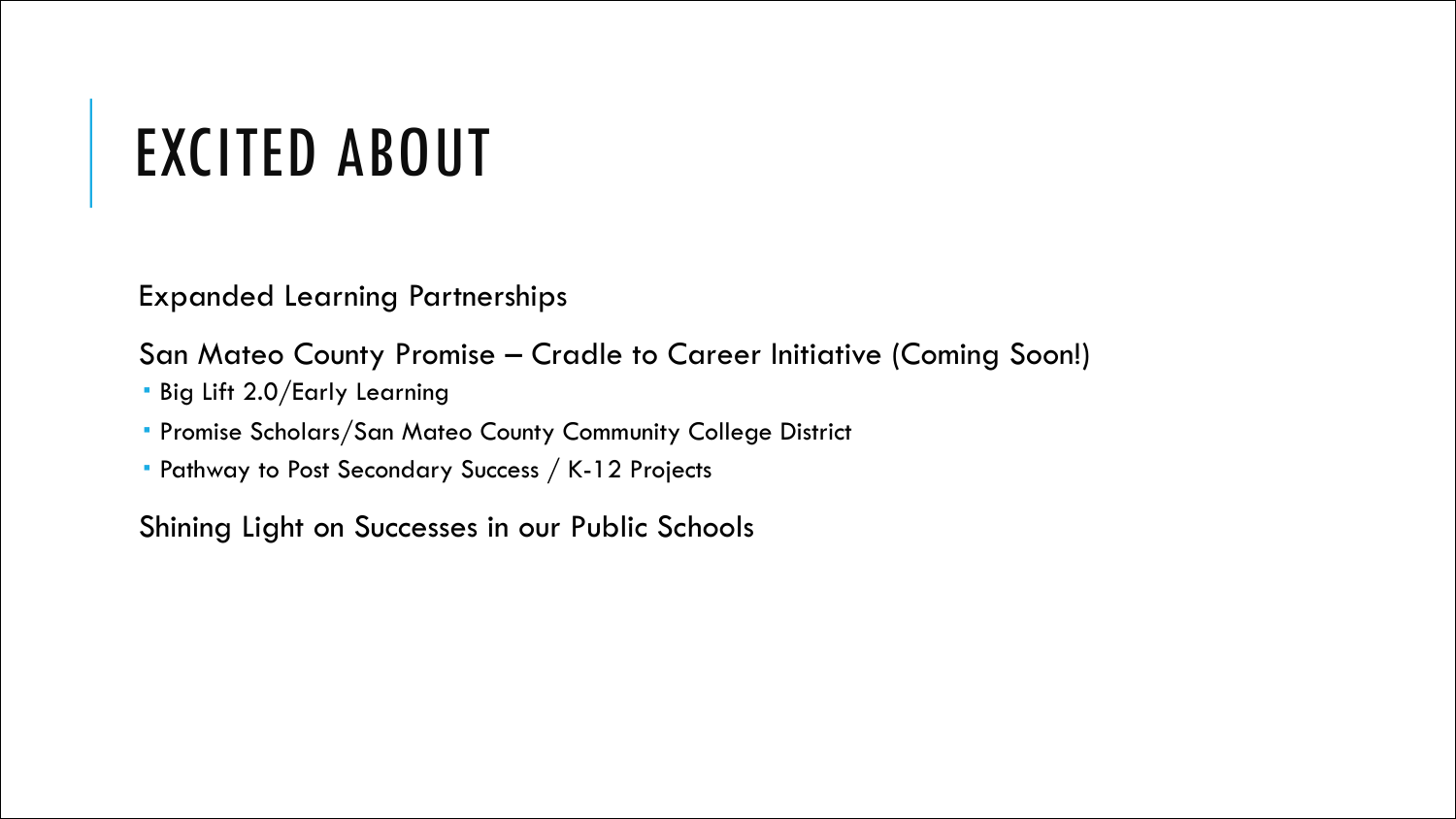### EXCITED ABOUT

Expanded Learning Partnerships

San Mateo County Promise – Cradle to Career Initiative (Coming Soon!)

- Big Lift 2.0/Early Learning
- Promise Scholars/San Mateo County Community College District
- Pathway to Post Secondary Success / K-12 Projects

Shining Light on Successes in our Public Schools